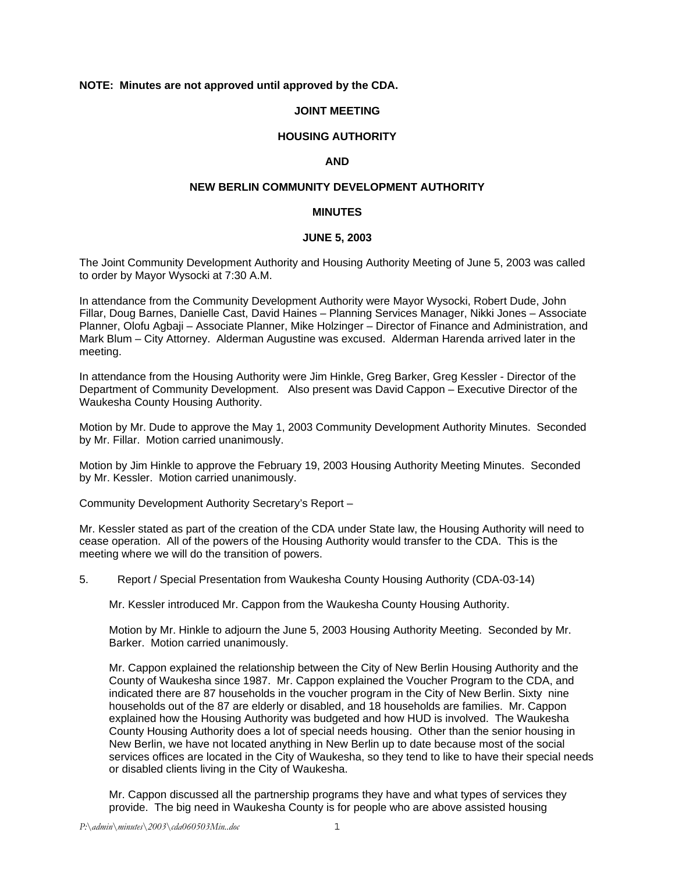# **NOTE: Minutes are not approved until approved by the CDA.**

## **JOINT MEETING**

# **HOUSING AUTHORITY**

#### **AND**

### **NEW BERLIN COMMUNITY DEVELOPMENT AUTHORITY**

#### **MINUTES**

#### **JUNE 5, 2003**

The Joint Community Development Authority and Housing Authority Meeting of June 5, 2003 was called to order by Mayor Wysocki at 7:30 A.M.

In attendance from the Community Development Authority were Mayor Wysocki, Robert Dude, John Fillar, Doug Barnes, Danielle Cast, David Haines – Planning Services Manager, Nikki Jones – Associate Planner, Olofu Agbaji – Associate Planner, Mike Holzinger – Director of Finance and Administration, and Mark Blum – City Attorney. Alderman Augustine was excused. Alderman Harenda arrived later in the meeting.

In attendance from the Housing Authority were Jim Hinkle, Greg Barker, Greg Kessler - Director of the Department of Community Development. Also present was David Cappon – Executive Director of the Waukesha County Housing Authority.

Motion by Mr. Dude to approve the May 1, 2003 Community Development Authority Minutes. Seconded by Mr. Fillar. Motion carried unanimously.

Motion by Jim Hinkle to approve the February 19, 2003 Housing Authority Meeting Minutes. Seconded by Mr. Kessler. Motion carried unanimously.

Community Development Authority Secretary's Report –

Mr. Kessler stated as part of the creation of the CDA under State law, the Housing Authority will need to cease operation. All of the powers of the Housing Authority would transfer to the CDA. This is the meeting where we will do the transition of powers.

5. Report / Special Presentation from Waukesha County Housing Authority (CDA-03-14)

Mr. Kessler introduced Mr. Cappon from the Waukesha County Housing Authority.

Motion by Mr. Hinkle to adjourn the June 5, 2003 Housing Authority Meeting. Seconded by Mr. Barker. Motion carried unanimously.

Mr. Cappon explained the relationship between the City of New Berlin Housing Authority and the County of Waukesha since 1987. Mr. Cappon explained the Voucher Program to the CDA, and indicated there are 87 households in the voucher program in the City of New Berlin. Sixty nine households out of the 87 are elderly or disabled, and 18 households are families. Mr. Cappon explained how the Housing Authority was budgeted and how HUD is involved. The Waukesha County Housing Authority does a lot of special needs housing. Other than the senior housing in New Berlin, we have not located anything in New Berlin up to date because most of the social services offices are located in the City of Waukesha, so they tend to like to have their special needs or disabled clients living in the City of Waukesha.

Mr. Cappon discussed all the partnership programs they have and what types of services they provide. The big need in Waukesha County is for people who are above assisted housing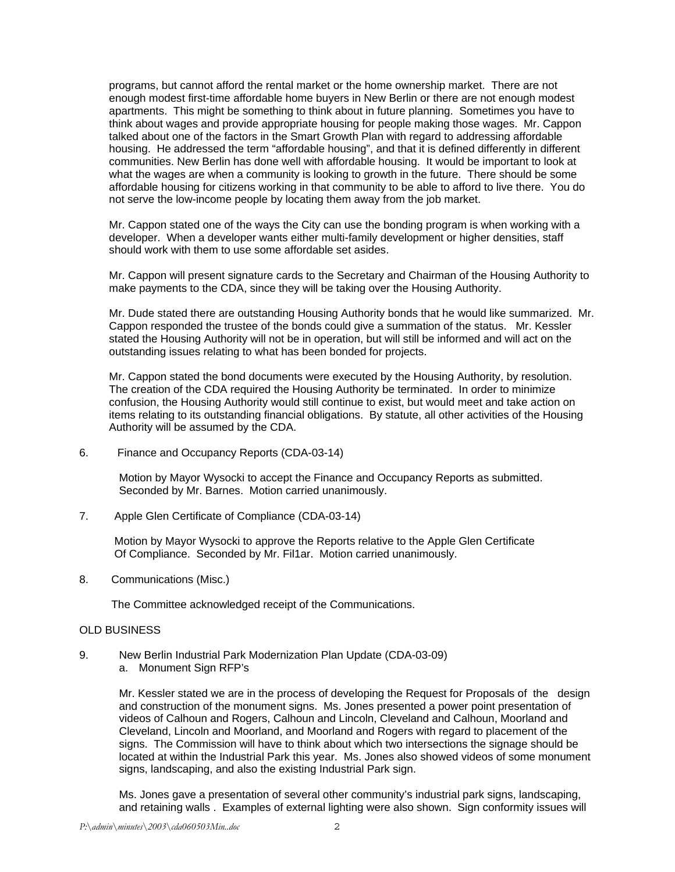programs, but cannot afford the rental market or the home ownership market. There are not enough modest first-time affordable home buyers in New Berlin or there are not enough modest apartments. This might be something to think about in future planning. Sometimes you have to think about wages and provide appropriate housing for people making those wages. Mr. Cappon talked about one of the factors in the Smart Growth Plan with regard to addressing affordable housing. He addressed the term "affordable housing", and that it is defined differently in different communities. New Berlin has done well with affordable housing. It would be important to look at what the wages are when a community is looking to growth in the future. There should be some affordable housing for citizens working in that community to be able to afford to live there. You do not serve the low-income people by locating them away from the job market.

Mr. Cappon stated one of the ways the City can use the bonding program is when working with a developer. When a developer wants either multi-family development or higher densities, staff should work with them to use some affordable set asides.

Mr. Cappon will present signature cards to the Secretary and Chairman of the Housing Authority to make payments to the CDA, since they will be taking over the Housing Authority.

Mr. Dude stated there are outstanding Housing Authority bonds that he would like summarized. Mr. Cappon responded the trustee of the bonds could give a summation of the status. Mr. Kessler stated the Housing Authority will not be in operation, but will still be informed and will act on the outstanding issues relating to what has been bonded for projects.

Mr. Cappon stated the bond documents were executed by the Housing Authority, by resolution. The creation of the CDA required the Housing Authority be terminated. In order to minimize confusion, the Housing Authority would still continue to exist, but would meet and take action on items relating to its outstanding financial obligations. By statute, all other activities of the Housing Authority will be assumed by the CDA.

6. Finance and Occupancy Reports (CDA-03-14)

Motion by Mayor Wysocki to accept the Finance and Occupancy Reports as submitted. Seconded by Mr. Barnes. Motion carried unanimously.

7. Apple Glen Certificate of Compliance (CDA-03-14)

 Motion by Mayor Wysocki to approve the Reports relative to the Apple Glen Certificate Of Compliance. Seconded by Mr. Fil1ar. Motion carried unanimously.

8. Communications (Misc.)

The Committee acknowledged receipt of the Communications.

### OLD BUSINESS

- 9. New Berlin Industrial Park Modernization Plan Update (CDA-03-09)
	- a. Monument Sign RFP's

Mr. Kessler stated we are in the process of developing the Request for Proposals of the design and construction of the monument signs. Ms. Jones presented a power point presentation of videos of Calhoun and Rogers, Calhoun and Lincoln, Cleveland and Calhoun, Moorland and Cleveland, Lincoln and Moorland, and Moorland and Rogers with regard to placement of the signs. The Commission will have to think about which two intersections the signage should be located at within the Industrial Park this year. Ms. Jones also showed videos of some monument signs, landscaping, and also the existing Industrial Park sign.

Ms. Jones gave a presentation of several other community's industrial park signs, landscaping, and retaining walls . Examples of external lighting were also shown. Sign conformity issues will